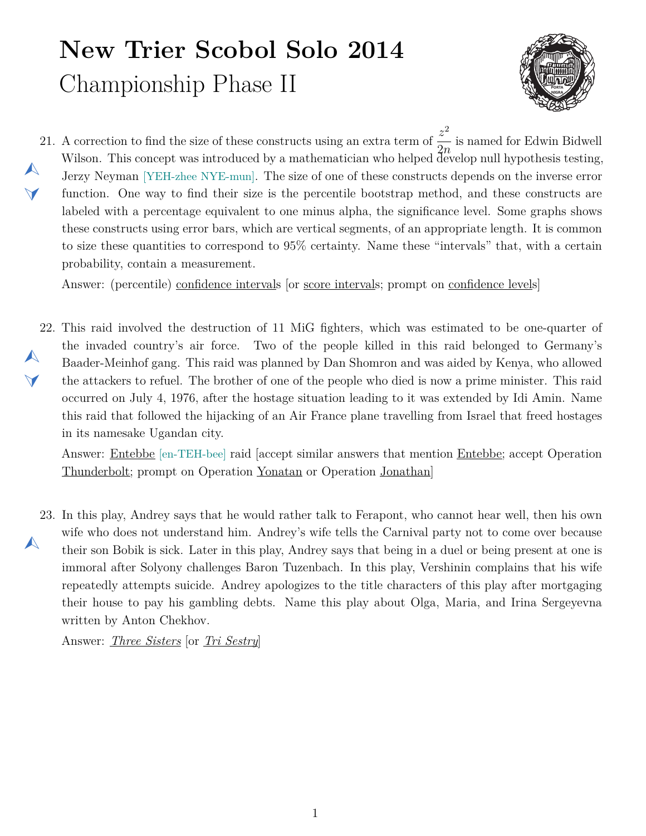## **New Trier Scobol Solo 2014** Championship Phase II



<span id="page-0-1"></span>21. A correction to find the size of these constructs using an extra term of  $\frac{z^2}{2}$  $\blacktriangle$  $\blacktriangledown$ 2*n* is named for Edwin Bidwell Wilson. This concept was introduced by a mathematician who helped  $\tilde{d}$  evelop null hypothesis testing, Jerzy Neyman [YEH-zhee NYE-mun]. The size of one of these constructs depends on the inverse error function. One way to find their size is the percentile bootstrap method, and these constructs are labeled with a percentage equivalent to one minus alpha, the significance level. Some graphs shows these constructs using error bars, which are vertical segments, of an appropriate length. It is common to size these quantities to correspond to 95% certainty. Name these "intervals" that, with a certain probability, contain a measurement.

Answer: (percentile) confidence intervals [or score intervals; prompt on confidence levels]

<span id="page-0-0"></span>22. This raid involved the destruction of 11 MiG fighters, which was estimated to be one-quarter of  $\blacktriangle$  $\Delta$ the invaded country's air force. Two of the people killed in this raid belonged to Germany's Baader-Meinhof gang. This raid was planned by Dan Shomron and was aided by Kenya, who allowed the attackers to refuel. The brother of one of the people who died is now a prime minister. This raid occurred on July 4, 1976, after the hostage situation leading to it was extended by Idi Amin. Name this raid that followed the hijacking of an Air France plane travelling from Israel that freed hostages in its namesake Ugandan city.

Answer: Entebbe [en-TEH-bee] raid [accept similar answers that mention Entebbe; accept Operation Thunderbolt; prompt on Operation Yonatan or Operation Jonathan]

<span id="page-0-2"></span>23. In this play, Andrey says that he would rather talk to Ferapont, who cannot hear well, then his own  $\blacktriangle$ wife who does not understand him. Andrey's wife tells the Carnival party not to come over because their son Bobik is sick. Later in this play, Andrey says that being in a duel or being present at one is immoral after Solyony challenges Baron Tuzenbach. In this play, Vershinin complains that his wife repeatedly attempts suicide. Andrey apologizes to the title characters of this play after mortgaging their house to pay his gambling debts. Name this play about Olga, Maria, and Irina Sergeyevna written by Anton Chekhov.

Answer: *Three Sisters* [or *Tri Sestry*]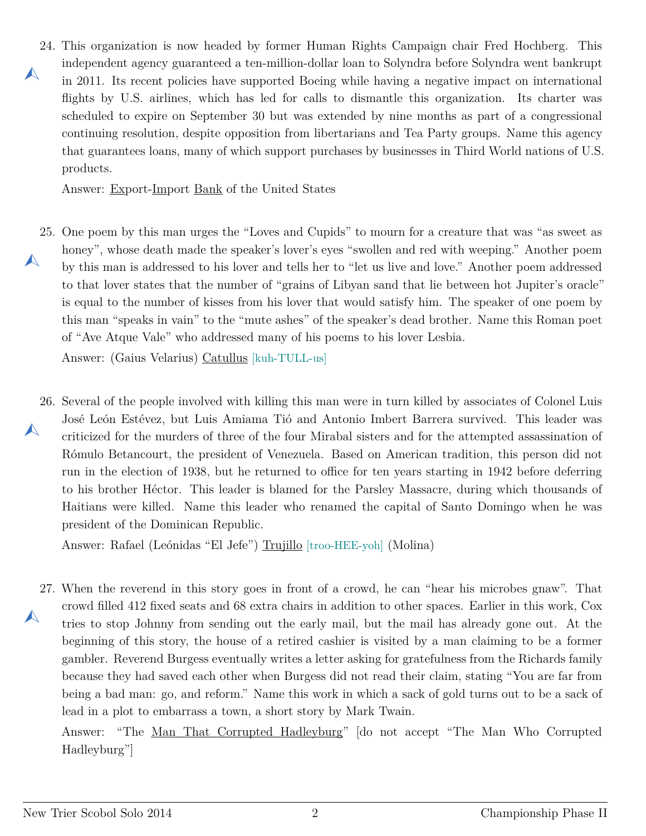<span id="page-1-0"></span>24. This organization is now headed by former Human Rights Campaign chair Fred Hochberg. This  $\blacktriangle$ independent agency guaranteed a ten-million-dollar loan to Solyndra before Solyndra went bankrupt in 2011. Its recent policies have supported Boeing while having a negative impact on international flights by U.S. airlines, which has led for calls to dismantle this organization. Its charter was scheduled to expire on September 30 but was extended by nine months as part of a congressional continuing resolution, despite opposition from libertarians and Tea Party groups. Name this agency that guarantees loans, many of which support purchases by businesses in Third World nations of U.S. products.

Answer: Export-Import Bank of the United States

<span id="page-1-1"></span>25. One poem by this man urges the "Loves and Cupids" to mourn for a creature that was "as sweet as  $\blacktriangle$ honey", whose death made the speaker's lover's eyes "swollen and red with weeping." Another poem by this man is addressed to his lover and tells her to "let us live and love." Another poem addressed to that lover states that the number of "grains of Libyan sand that lie between hot Jupiter's oracle" is equal to the number of kisses from his lover that would satisfy him. The speaker of one poem by this man "speaks in vain" to the "mute ashes" of the speaker's dead brother. Name this Roman poet of "Ave Atque Vale" who addressed many of his poems to his lover Lesbia.

Answer: (Gaius Velarius) Catullus [kuh-TULL-us]

<span id="page-1-2"></span>26. Several of the people involved with killing this man were in turn killed by associates of Colonel Luis  $\blacktriangle$ José León Estévez, but Luis Amiama Tió and Antonio Imbert Barrera survived. This leader was criticized for the murders of three of the four Mirabal sisters and for the attempted assassination of Rómulo Betancourt, the president of Venezuela. Based on American tradition, this person did not run in the election of 1938, but he returned to office for ten years starting in 1942 before deferring to his brother Héctor. This leader is blamed for the Parsley Massacre, during which thousands of Haitians were killed. Name this leader who renamed the capital of Santo Domingo when he was president of the Dominican Republic.

Answer: Rafael (Leónidas "El Jefe") Trujillo [troo-HEE-yoh] (Molina)

<span id="page-1-3"></span>27. When the reverend in this story goes in front of a crowd, he can "hear his microbes gnaw". That  $\blacktriangle$ crowd filled 412 fixed seats and 68 extra chairs in addition to other spaces. Earlier in this work, Cox tries to stop Johnny from sending out the early mail, but the mail has already gone out. At the beginning of this story, the house of a retired cashier is visited by a man claiming to be a former gambler. Reverend Burgess eventually writes a letter asking for gratefulness from the Richards family because they had saved each other when Burgess did not read their claim, stating "You are far from being a bad man: go, and reform." Name this work in which a sack of gold turns out to be a sack of lead in a plot to embarrass a town, a short story by Mark Twain.

Answer: "The Man That Corrupted Hadleyburg" [do not accept "The Man Who Corrupted Hadleyburg"]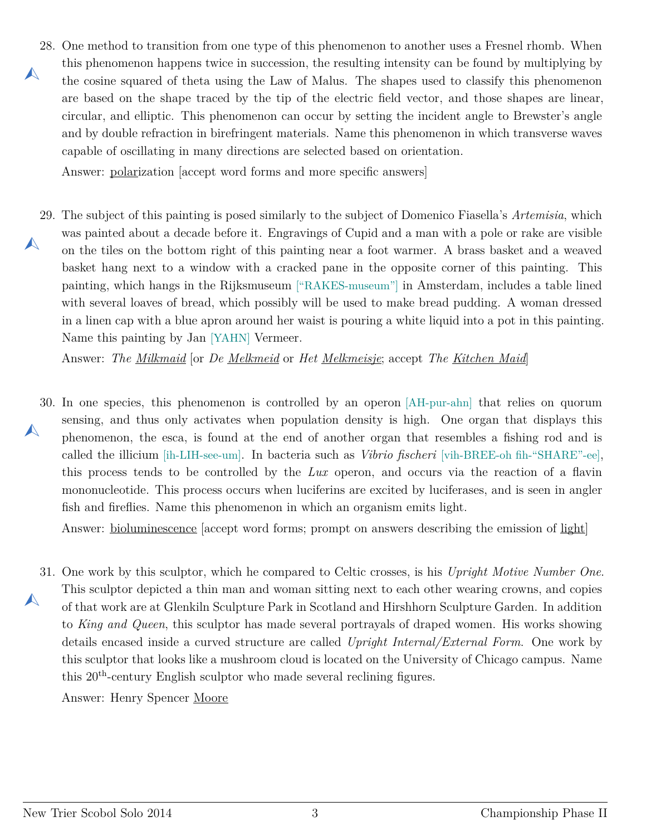<span id="page-2-0"></span>28. One method to transition from one type of this phenomenon to another uses a Fresnel rhomb. When  $\blacktriangle$ this phenomenon happens twice in succession, the resulting intensity can be found by multiplying by the cosine squared of theta using the Law of Malus. The shapes used to classify this phenomenon are based on the shape traced by the tip of the electric field vector, and those shapes are linear, circular, and elliptic. This phenomenon can occur by setting the incident angle to Brewster's angle and by double refraction in birefringent materials. Name this phenomenon in which transverse waves capable of oscillating in many directions are selected based on orientation.

Answer: polarization [accept word forms and more specific answers]

<span id="page-2-1"></span>29. The subject of this painting is posed similarly to the subject of Domenico Fiasella's *Artemisia*, which  $\blacktriangle$ was painted about a decade before it. Engravings of Cupid and a man with a pole or rake are visible on the tiles on the bottom right of this painting near a foot warmer. A brass basket and a weaved basket hang next to a window with a cracked pane in the opposite corner of this painting. This painting, which hangs in the Rijksmuseum ["RAKES-museum"] in Amsterdam, includes a table lined with several loaves of bread, which possibly will be used to make bread pudding. A woman dressed in a linen cap with a blue apron around her waist is pouring a white liquid into a pot in this painting. Name this painting by Jan [YAHN] Vermeer.

Answer: *The Milkmaid* [or *De Melkmeid* or *Het Melkmeisje*; accept *The Kitchen Maid*]

<span id="page-2-2"></span>30. In one species, this phenomenon is controlled by an operon [AH-pur-ahn] that relies on quorum  $\blacktriangle$ sensing, and thus only activates when population density is high. One organ that displays this phenomenon, the esca, is found at the end of another organ that resembles a fishing rod and is called the illicium [ih-LIH-see-um]. In bacteria such as *Vibrio fischeri* [vih-BREE-oh fih-"SHARE"-ee], this process tends to be controlled by the *Lux* operon, and occurs via the reaction of a flavin mononucleotide. This process occurs when luciferins are excited by luciferases, and is seen in angler fish and fireflies. Name this phenomenon in which an organism emits light.

Answer: bioluminescence [accept word forms; prompt on answers describing the emission of light]

<span id="page-2-3"></span>31. One work by this sculptor, which he compared to Celtic crosses, is his *Upright Motive Number One*.  $\blacktriangle$ This sculptor depicted a thin man and woman sitting next to each other wearing crowns, and copies of that work are at Glenkiln Sculpture Park in Scotland and Hirshhorn Sculpture Garden. In addition to *King and Queen*, this sculptor has made several portrayals of draped women. His works showing details encased inside a curved structure are called *Upright Internal/External Form*. One work by this sculptor that looks like a mushroom cloud is located on the University of Chicago campus. Name this 20th-century English sculptor who made several reclining figures.

Answer: Henry Spencer Moore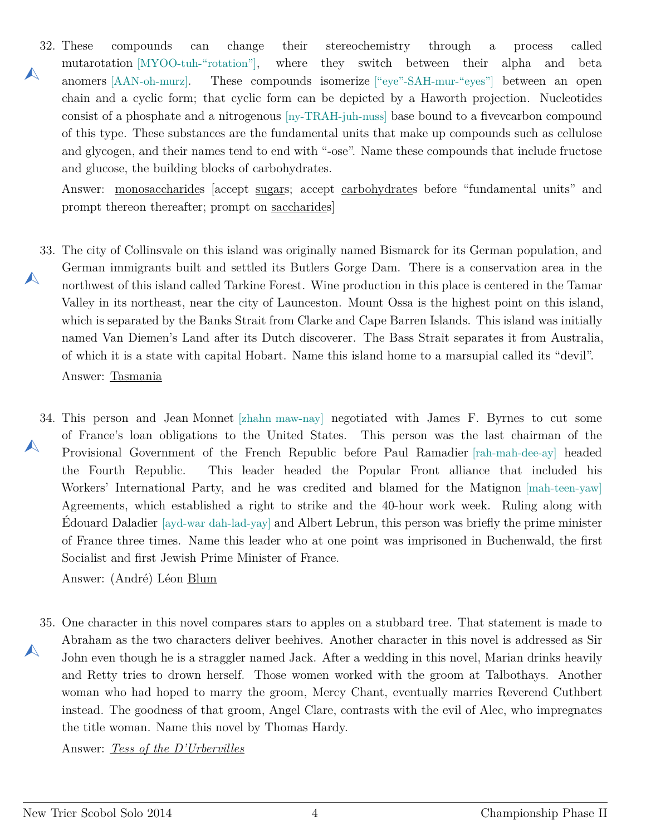<span id="page-3-0"></span>32.  $\blacktriangle$ compounds can change their stereochemistry through a process called mutarotation [MYOO-tuh-"rotation"], where they switch between their alpha and beta anomers [AAN-oh-murz]. These compounds isomerize ["eye"-SAH-mur-"eyes"] between an open chain and a cyclic form; that cyclic form can be depicted by a Haworth projection. Nucleotides consist of a phosphate and a nitrogenous [ny-TRAH-juh-nuss] base bound to a fivevcarbon compound of this type. These substances are the fundamental units that make up compounds such as cellulose and glycogen, and their names tend to end with "-ose". Name these compounds that include fructose and glucose, the building blocks of carbohydrates.

Answer: monosaccharides [accept sugars; accept carbohydrates before "fundamental units" and prompt thereon thereafter; prompt on saccharides]

- <span id="page-3-1"></span>33. The city of Collinsvale on this island was originally named Bismarck for its German population, and  $\blacktriangle$ German immigrants built and settled its Butlers Gorge Dam. There is a conservation area in the northwest of this island called Tarkine Forest. Wine production in this place is centered in the Tamar Valley in its northeast, near the city of Launceston. Mount Ossa is the highest point on this island, which is separated by the Banks Strait from Clarke and Cape Barren Islands. This island was initially named Van Diemen's Land after its Dutch discoverer. The Bass Strait separates it from Australia, of which it is a state with capital Hobart. Name this island home to a marsupial called its "devil". Answer: Tasmania
- <span id="page-3-2"></span>34. This person and Jean Monnet [zhahn maw-nay] negotiated with James F. Byrnes to cut some  $\blacktriangle$ of France's loan obligations to the United States. This person was the last chairman of the Provisional Government of the French Republic before Paul Ramadier [rah-mah-dee-ay] headed the Fourth Republic. This leader headed the Popular Front alliance that included his Workers' International Party, and he was credited and blamed for the Matignon [mah-teen-yaw] Agreements, which established a right to strike and the 40-hour work week. Ruling along with Édouard Daladier [ayd-war dah-lad-yay] and Albert Lebrun, this person was briefly the prime minister of France three times. Name this leader who at one point was imprisoned in Buchenwald, the first Socialist and first Jewish Prime Minister of France.

Answer: (André) Léon Blum

<span id="page-3-3"></span>35. One character in this novel compares stars to apples on a stubbard tree. That statement is made to  $\blacktriangle$ Abraham as the two characters deliver beehives. Another character in this novel is addressed as Sir John even though he is a straggler named Jack. After a wedding in this novel, Marian drinks heavily and Retty tries to drown herself. Those women worked with the groom at Talbothays. Another woman who had hoped to marry the groom, Mercy Chant, eventually marries Reverend Cuthbert instead. The goodness of that groom, Angel Clare, contrasts with the evil of Alec, who impregnates the title woman. Name this novel by Thomas Hardy.

Answer: *Tess of the D'Urbervilles*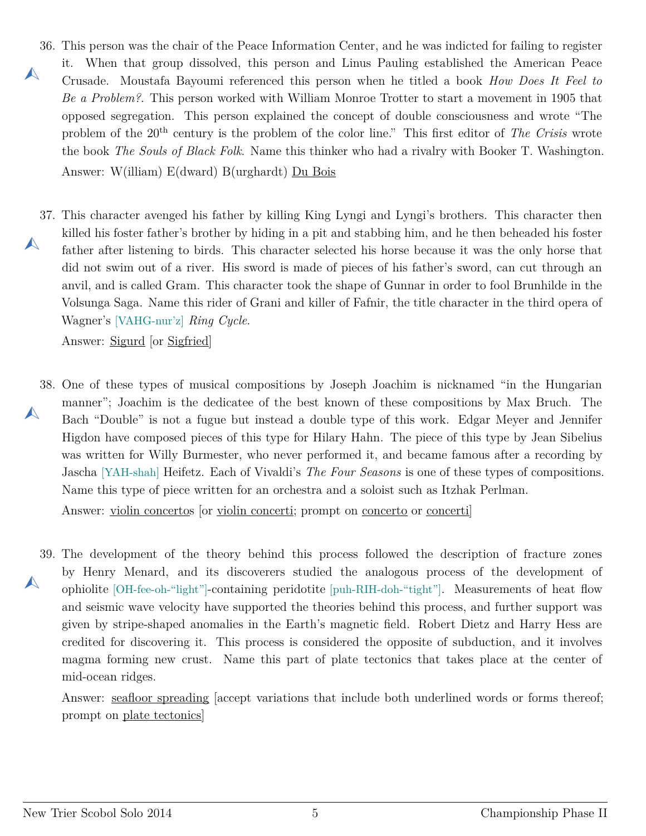- <span id="page-4-0"></span>36. This person was the chair of the Peace Information Center, and he was indicted for failing to register  $\blacktriangle$ it. When that group dissolved, this person and Linus Pauling established the American Peace Crusade. Moustafa Bayoumi referenced this person when he titled a book *How Does It Feel to Be a Problem?*. This person worked with William Monroe Trotter to start a movement in 1905 that opposed segregation. This person explained the concept of double consciousness and wrote "The problem of the 20th century is the problem of the color line." This first editor of *The Crisis* wrote the book *The Souls of Black Folk*. Name this thinker who had a rivalry with Booker T. Washington. Answer: W(illiam) E(dward) B(urghardt) Du Bois
- <span id="page-4-1"></span>37. This character avenged his father by killing King Lyngi and Lyngi's brothers. This character then  $\blacktriangle$ killed his foster father's brother by hiding in a pit and stabbing him, and he then beheaded his foster father after listening to birds. This character selected his horse because it was the only horse that did not swim out of a river. His sword is made of pieces of his father's sword, can cut through an anvil, and is called Gram. This character took the shape of Gunnar in order to fool Brunhilde in the Volsunga Saga. Name this rider of Grani and killer of Fafnir, the title character in the third opera of Wagner's [VAHG-nur'z] *Ring Cycle*.

Answer: Sigurd [or Sigfried]

<span id="page-4-2"></span>38. One of these types of musical compositions by Joseph Joachim is nicknamed "in the Hungarian  $\blacktriangle$ manner"; Joachim is the dedicatee of the best known of these compositions by Max Bruch. The Bach "Double" is not a fugue but instead a double type of this work. Edgar Meyer and Jennifer Higdon have composed pieces of this type for Hilary Hahn. The piece of this type by Jean Sibelius was written for Willy Burmester, who never performed it, and became famous after a recording by Jascha [YAH-shah] Heifetz. Each of Vivaldi's *The Four Seasons* is one of these types of compositions. Name this type of piece written for an orchestra and a soloist such as Itzhak Perlman.

Answer: violin concertos [or violin concerti; prompt on concerto or concerti]

<span id="page-4-3"></span>39. The development of the theory behind this process followed the description of fracture zones  $\blacktriangle$ by Henry Menard, and its discoverers studied the analogous process of the development of ophiolite [OH-fee-oh-"light"]-containing peridotite [puh-RIH-doh-"tight"]. Measurements of heat flow and seismic wave velocity have supported the theories behind this process, and further support was given by stripe-shaped anomalies in the Earth's magnetic field. Robert Dietz and Harry Hess are credited for discovering it. This process is considered the opposite of subduction, and it involves magma forming new crust. Name this part of plate tectonics that takes place at the center of mid-ocean ridges.

Answer: seafloor spreading [accept variations that include both underlined words or forms thereof; prompt on plate tectonics]